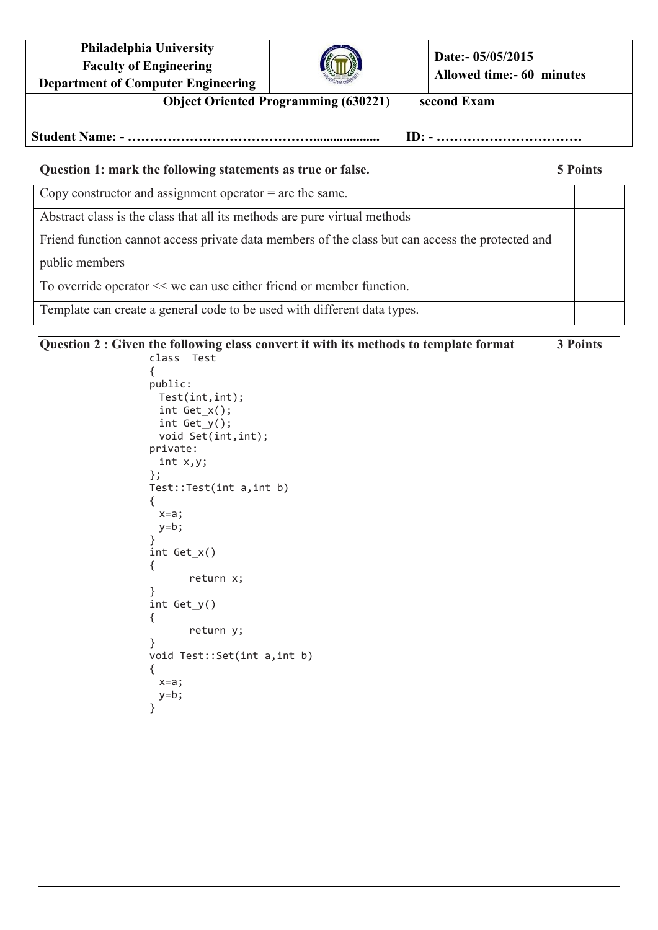**Philadelphia University Faculty of Engineering Department of Computer Engineering**



**Date:- 05/05/2015 Allowed time:- 60 minutes**

**Object Oriented Programming (630221) second Exam**

**Student Name: - …………………………………….................... ID: - ……………………………**

## **Question 1: mark the following statements as true or false. 5 Points**

Copy constructor and assignment operator = are the same.

Abstract class is the class that all its methods are pure virtual methods

Friend function cannot access private data members of the class but can access the protected and

public members

To override operator << we can use either friend or member function.

Template can create a general code to be used with different data types.

## **Question 2 : Given the following class convert it with its methods to template format 3 Points**

class Test { public: Test(int,int); int Get\_x(); int Get\_y(); void Set(int,int); private: int x,y; }; Test::Test(int a,int b) { x=a;  $y=b;$ } int Get\_x() { return x; } int Get\_y() { return y; } void Test::Set(int a,int b) { x=a; y=b; }